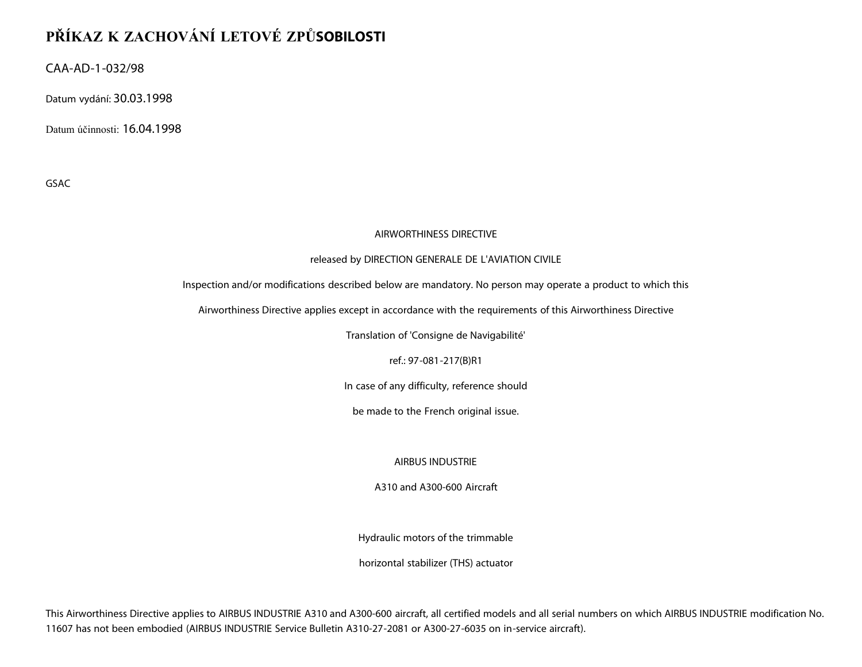## **PŘÍKAZ K ZACHOVÁNÍ LETOVÉ ZPŮSOBILOSTI**

CAA-AD-1-032/98

Datum vydání: 30.03.1998

Datum účinnosti: 16.04.1998

GSAC

## AIRWORTHINESS DIRECTIVE

## released by DIRECTION GENERALE DE L'AVIATION CIVILE

Inspection and/or modifications described below are mandatory. No person may operate a product to which this

Airworthiness Directive applies except in accordance with the requirements of this Airworthiness Directive

Translation of 'Consigne de Navigabilité'

ref.: 97-081-217(B)R1

In case of any difficulty, reference should

be made to the French original issue.

AIRBUS INDUSTRIE

A310 and A300-600 Aircraft

Hydraulic motors of the trimmable

horizontal stabilizer (THS) actuator

This Airworthiness Directive applies to AIRBUS INDUSTRIE A310 and A300-600 aircraft, all certified models and all serial numbers on which AIRBUS INDUSTRIE modification No. 11607 has not been embodied (AIRBUS INDUSTRIE Service Bulletin A310-27-2081 or A300-27-6035 on in-service aircraft).